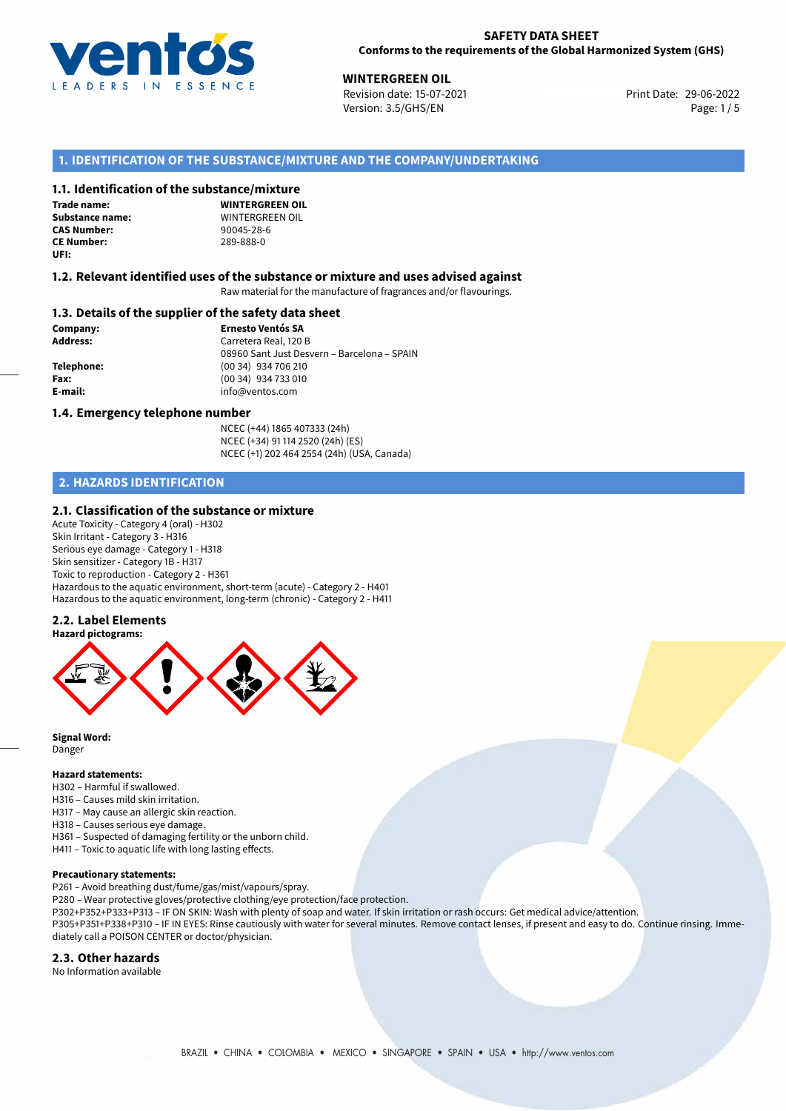

#### **SAFETY DATA SHEET Conforms to the requirements of the Global Harmonized System (GHS)**

**WINTERGREEN OIL**<br> **29-06-2022 Revision date: 15-07-2021 Print Date: 29-06-2022** Revision date: 15-07-2021 Version: 3.5/GHS/EN Page: 1/5

# **1. IDENTIFICATION OF THE SUBSTANCE/MIXTURE AND THE COMPANY/UNDERTAKING**

#### **1.1. Identification of the substance/mixture**

**Trade name: CE Number:** 289-888-0 **UFI:**

**WINTERGREEN OIL Substance name:** WINTERGREEN OIL<br> **CAS Number:** 90045-28-6 **CAS Number:** 90045-28-6

#### **1.2. Relevant identified uses of the substance or mixture and uses advised against**

Raw material for the manufacture of fragrances and/or flavourings.

#### **1.3. Details of the supplier of the safety data sheet**

**Company: Ernesto Ventós SA Address:** Carretera Real, 120 B 08960 Sant Just Desvern – Barcelona – SPAIN **Telephone:** (00 34) 934 706 210 **Fax:** (00 34) 934 733 010 **E-mail:** info@ventos.com

#### **1.4. Emergency telephone number**

NCEC (+44) 1865 407333 (24h) NCEC (+34) 91 114 2520 (24h) (ES) NCEC (+1) 202 464 2554 (24h) (USA, Canada)

# **2. HAZARDS IDENTIFICATION**

#### **2.1. Classification of the substance or mixture**

Acute Toxicity - Category 4 (oral) - H302 Skin Irritant - Category 3 - H316 Serious eye damage - Category 1 - H318 Skin sensitizer - Category 1B - H317 Toxic to reproduction - Category 2 - H361 Hazardous to the aquatic environment, short-term (acute) - Category 2 - H401 Hazardous to the aquatic environment, long-term (chronic) - Category 2 - H411

### **2.2. Label Elements**



**Signal Word:** Danger

#### **Hazard statements:**

H302 – Harmful if swallowed.

- H316 Causes mild skin irritation.
- H317 May cause an allergic skin reaction.
- H318 Causes serious eye damage.
- H361 Suspected of damaging fertility or the unborn child.
- H411 Toxic to aquatic life with long lasting effects.

### **Precautionary statements:**

P261 – Avoid breathing dust/fume/gas/mist/vapours/spray.

P280 – Wear protective gloves/protective clothing/eye protection/face protection.

P302+P352+P333+P313 – IF ON SKIN: Wash with plenty of soap and water. If skin irritation or rash occurs: Get medical advice/attention.

P305+P351+P338+P310 – IF IN EYES: Rinse cautiously with water for several minutes. Remove contact lenses, if present and easy to do. Continue rinsing. Immediately call a POISON CENTER or doctor/physician.

### **2.3. Other hazards**

No Information available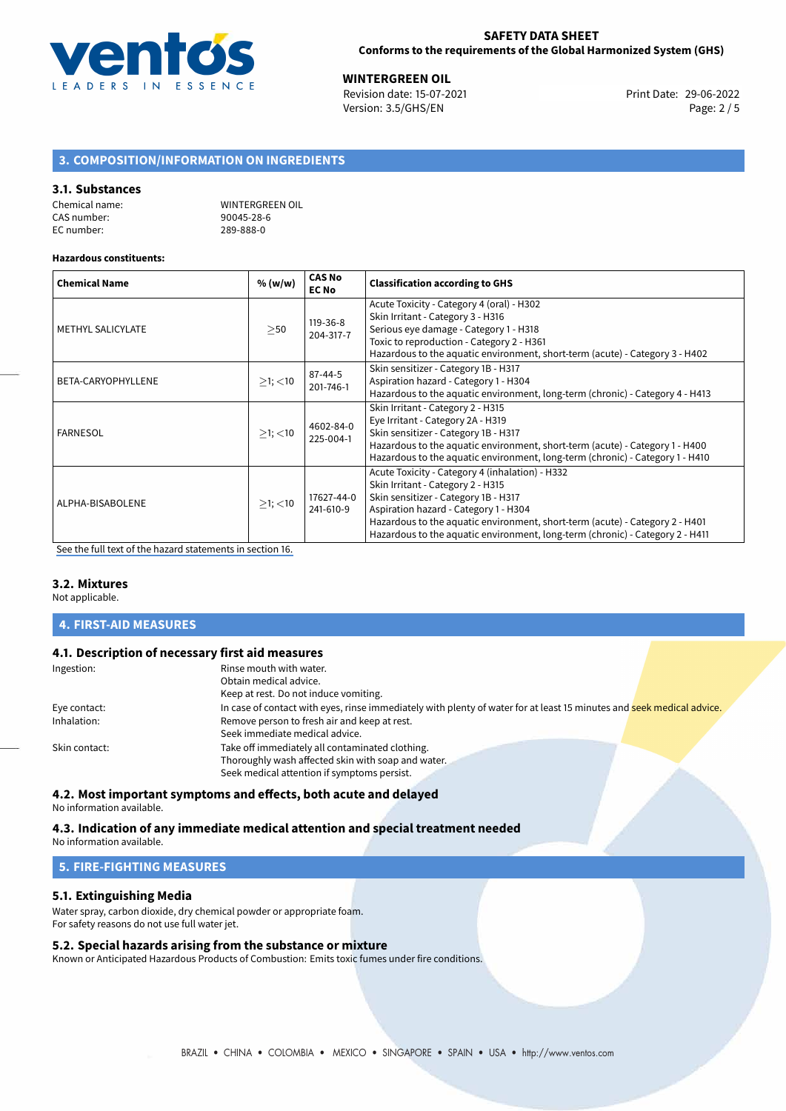

**WINTERGREEN OIL**<br>Revision date: 15-07-2021 **Alta and State: 29-06-2022** Print Date: 29-06-2022 Version: 3.5/GHS/EN Page: 2 / 5

# **3. COMPOSITION/INFORMATION ON INGREDIENTS**

#### **3.1. Substances**

| Chemical name: | WINTERGREEN OIL |
|----------------|-----------------|
| CAS number:    | 90045-28-6      |
| EC number:     | 289-888-0       |

#### **Hazardous constituents:**

| <b>Chemical Name</b>     | % (w/w)       | <b>CAS No</b><br><b>EC No</b> | <b>Classification according to GHS</b>                                                                                                                                                                                                                                                                                                 |  |
|--------------------------|---------------|-------------------------------|----------------------------------------------------------------------------------------------------------------------------------------------------------------------------------------------------------------------------------------------------------------------------------------------------------------------------------------|--|
| <b>METHYL SALICYLATE</b> | >50           | 119-36-8<br>204-317-7         | Acute Toxicity - Category 4 (oral) - H302<br>Skin Irritant - Category 3 - H316<br>Serious eye damage - Category 1 - H318<br>Toxic to reproduction - Category 2 - H361<br>Hazardous to the aquatic environment, short-term (acute) - Category 3 - H402                                                                                  |  |
| BETA-CARYOPHYLLENE       | $>1$ ; $<$ 10 | 87-44-5<br>201-746-1          | Skin sensitizer - Category 1B - H317<br>Aspiration hazard - Category 1 - H304<br>Hazardous to the aquatic environment, long-term (chronic) - Category 4 - H413                                                                                                                                                                         |  |
| <b>FARNESOL</b>          | $>1$ ; $<$ 10 | 4602-84-0<br>225-004-1        | Skin Irritant - Category 2 - H315<br>Eye Irritant - Category 2A - H319<br>Skin sensitizer - Category 1B - H317<br>Hazardous to the aquatic environment, short-term (acute) - Category 1 - H400<br>Hazardous to the aquatic environment, long-term (chronic) - Category 1 - H410                                                        |  |
| ALPHA-BISABOLENE         | $>1$ ; <10    | 17627-44-0<br>241-610-9       | Acute Toxicity - Category 4 (inhalation) - H332<br>Skin Irritant - Category 2 - H315<br>Skin sensitizer - Category 1B - H317<br>Aspiration hazard - Category 1 - H304<br>Hazardous to the aquatic environment, short-term (acute) - Category 2 - H401<br>Hazardous to the aquatic environment, long-term (chronic) - Category 2 - H411 |  |

[See the full text of the hazard statements in section 16.](#page-4-0)

# **3.2. Mixtures**

Not applicable.

# **4. FIRST-AID MEASURES**

### **4.1. Description of necessary first aid measures**

| Ingestion:    | Rinse mouth with water.                                                                                               |
|---------------|-----------------------------------------------------------------------------------------------------------------------|
|               | Obtain medical advice.                                                                                                |
|               | Keep at rest. Do not induce vomiting.                                                                                 |
| Eye contact:  | In case of contact with eyes, rinse immediately with plenty of water for at least 15 minutes and seek medical advice. |
| Inhalation:   | Remove person to fresh air and keep at rest.                                                                          |
|               | Seek immediate medical advice.                                                                                        |
| Skin contact: | Take off immediately all contaminated clothing.                                                                       |
|               | Thoroughly wash affected skin with soap and water.                                                                    |
|               | Seek medical attention if symptoms persist.                                                                           |
|               |                                                                                                                       |

# **4.2. Most important symptoms and effects, both acute and delayed** No information available.

# **4.3. Indication of any immediate medical attention and special treatment needed**

No information available.

# **5. FIRE-FIGHTING MEASURES**

#### **5.1. Extinguishing Media**

Water spray, carbon dioxide, dry chemical powder or appropriate foam. For safety reasons do not use full water jet.

### **5.2. Special hazards arising from the substance or mixture**

Known or Anticipated Hazardous Products of Combustion: Emits toxic fumes under fire conditions.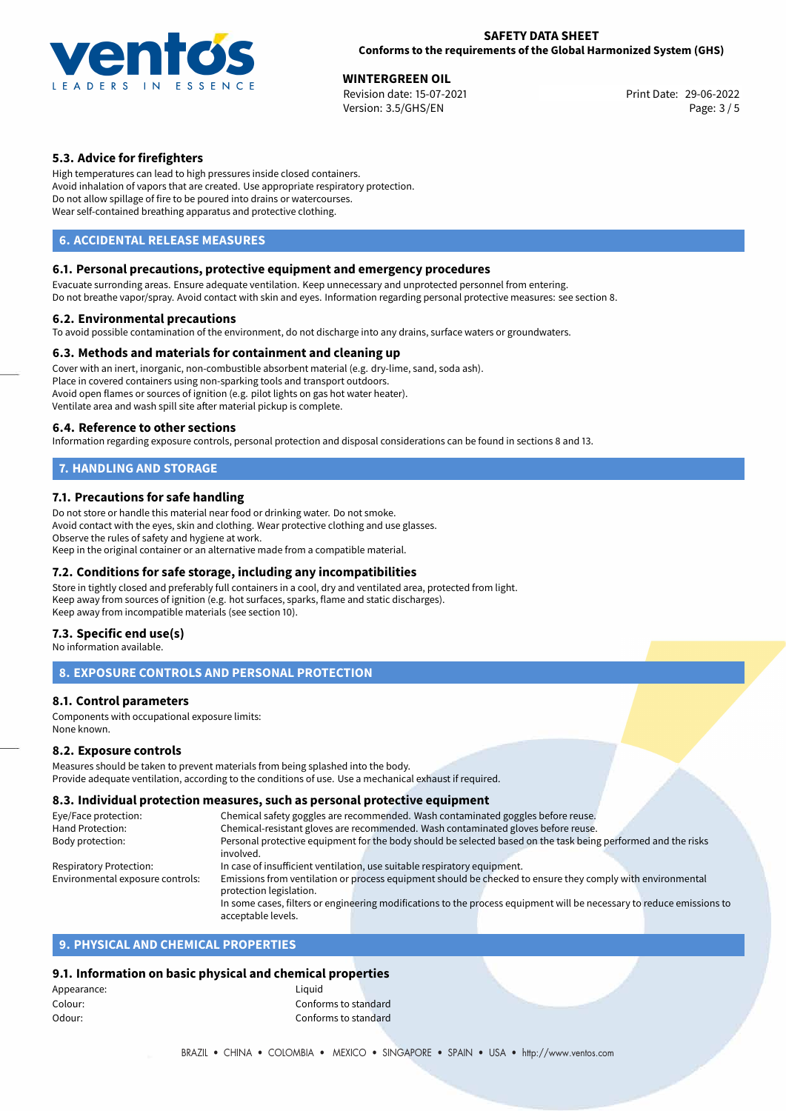

**WINTERGREEN OIL**<br>Revision date: 15-07-2021 **Alta and State: 29-06-2022** Print Date: 29-06-2022 Version: 3.5/GHS/EN Page: 3 / 5

# **5.3. Advice for firefighters**

High temperatures can lead to high pressures inside closed containers. Avoid inhalation of vapors that are created. Use appropriate respiratory protection. Do not allow spillage of fire to be poured into drains or watercourses. Wear self-contained breathing apparatus and protective clothing.

# **6. ACCIDENTAL RELEASE MEASURES**

### **6.1. Personal precautions, protective equipment and emergency procedures**

Evacuate surronding areas. Ensure adequate ventilation. Keep unnecessary and unprotected personnel from entering. Do not breathe vapor/spray. Avoid contact with skin and eyes. Information regarding personal protective measures: see section 8.

#### **6.2. Environmental precautions**

To avoid possible contamination of the environment, do not discharge into any drains, surface waters or groundwaters.

### **6.3. Methods and materials for containment and cleaning up**

Cover with an inert, inorganic, non-combustible absorbent material (e.g. dry-lime, sand, soda ash). Place in covered containers using non-sparking tools and transport outdoors. Avoid open flames or sources of ignition (e.g. pilot lights on gas hot water heater). Ventilate area and wash spill site after material pickup is complete.

### **6.4. Reference to other sections**

Information regarding exposure controls, personal protection and disposal considerations can be found in sections 8 and 13.

# **7. HANDLING AND STORAGE**

### **7.1. Precautions for safe handling**

Do not store or handle this material near food or drinking water. Do not smoke. Avoid contact with the eyes, skin and clothing. Wear protective clothing and use glasses. Observe the rules of safety and hygiene at work. Keep in the original container or an alternative made from a compatible material.

### **7.2. Conditions for safe storage, including any incompatibilities**

Store in tightly closed and preferably full containers in a cool, dry and ventilated area, protected from light. Keep away from sources of ignition (e.g. hot surfaces, sparks, flame and static discharges). Keep away from incompatible materials (see section 10).

### **7.3. Specific end use(s)**

No information available.

### **8. EXPOSURE CONTROLS AND PERSONAL PROTECTION**

### **8.1. Control parameters**

Components with occupational exposure limits: None known.

### **8.2. Exposure controls**

Measures should be taken to prevent materials from being splashed into the body. Provide adequate ventilation, according to the conditions of use. Use a mechanical exhaust if required.

# **8.3. Individual protection measures, such as personal protective equipment**

| Eye/Face protection:             | Chemical safety goggles are recommended. Wash contaminated goggles before reuse.                                      |  |  |
|----------------------------------|-----------------------------------------------------------------------------------------------------------------------|--|--|
| Hand Protection:                 | Chemical-resistant gloves are recommended. Wash contaminated gloves before reuse.                                     |  |  |
| Body protection:                 | Personal protective equipment for the body should be selected based on the task being performed and the risks         |  |  |
|                                  | involved.                                                                                                             |  |  |
| Respiratory Protection:          | In case of insufficient ventilation, use suitable respiratory equipment.                                              |  |  |
| Environmental exposure controls: | Emissions from ventilation or process equipment should be checked to ensure they comply with environmental            |  |  |
|                                  | protection legislation.                                                                                               |  |  |
|                                  | In some cases, filters or engineering modifications to the process equipment will be necessary to reduce emissions to |  |  |
|                                  | acceptable levels.                                                                                                    |  |  |

# **9. PHYSICAL AND CHEMICAL PROPERTIES**

### **9.1. Information on basic physical and chemical properties**

| Liauid               |  |
|----------------------|--|
| Conforms to standard |  |
| Conforms to standard |  |
|                      |  |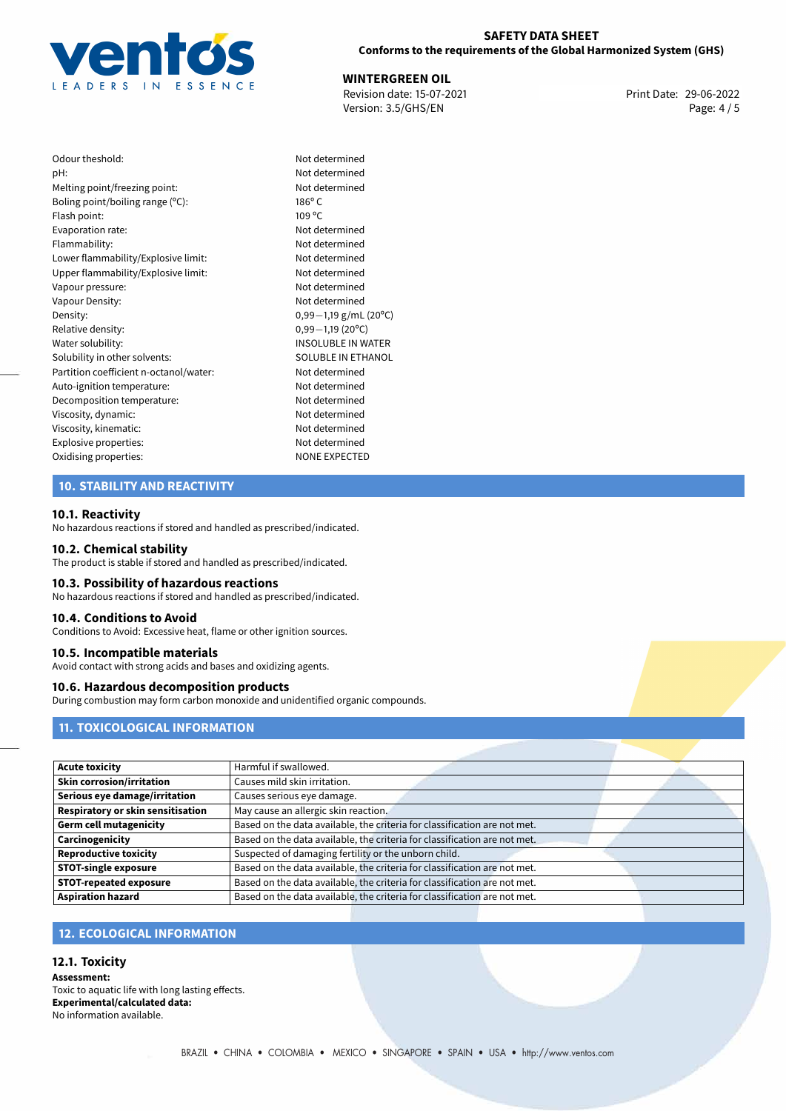

### **SAFETY DATA SHEET Conforms to the requirements of the Global Harmonized System (GHS)**

**WINTERGREEN OIL**<br>Revision date: 15-07-2021 **Alta and State: 29-06-2022** Print Date: 29-06-2022 Version: 3.5/GHS/EN Page: 4 / 5

| Odour theshold:                        | Not de          |
|----------------------------------------|-----------------|
| pH:                                    | Not de          |
| Melting point/freezing point:          | Not de          |
| Boling point/boiling range (°C):       | $186^{\circ}$ C |
| Flash point:                           | 109 °C          |
| Evaporation rate:                      | Not de          |
| Flammability:                          | Not de          |
| Lower flammability/Explosive limit:    | Not de          |
| Upper flammability/Explosive limit:    | Not de          |
| Vapour pressure:                       | Not de          |
| Vapour Density:                        | Not de          |
| Density:                               | $0,99-$         |
| Relative density:                      | $0,99-$         |
| Water solubility:                      | <b>INSOL</b>    |
| Solubility in other solvents:          | SOLUE           |
| Partition coefficient n-octanol/water: | Not de          |
| Auto-ignition temperature:             | Not de          |
| Decomposition temperature:             | Not de          |
| Viscosity, dynamic:                    | Not de          |
| Viscosity, kinematic:                  | Not de          |
| Explosive properties:                  | Not de          |
| Oxidising properties:                  | <b>NONE</b>     |
|                                        |                 |

## Not determined Not determined Not determined Upper flammability/Explosive limit: Not determined Not determined Not determined Density: 0,99*−*1,19 g/mL (20ºC) Relative density: 0,99*−*1,19 (20ºC) INSOLUBLE IN WATER SOLUBLE IN ETHANOL Not determined Not determined Not determined Not determined Not determined Not determined **NONE EXPECTED**

Not determined Not determined Not determined

# **10. STABILITY AND REACTIVITY**

#### **10.1. Reactivity**

No hazardous reactions if stored and handled as prescribed/indicated.

#### **10.2. Chemical stability**

The product is stable if stored and handled as prescribed/indicated.

#### **10.3. Possibility of hazardous reactions**

No hazardous reactions if stored and handled as prescribed/indicated.

#### **10.4. Conditions to Avoid**

Conditions to Avoid: Excessive heat, flame or other ignition sources.

#### **10.5. Incompatible materials**

Avoid contact with strong acids and bases and oxidizing agents.

#### **10.6. Hazardous decomposition products**

During combustion may form carbon monoxide and unidentified organic compounds.

# **11. TOXICOLOGICAL INFORMATION**

| <b>Acute toxicity</b>             | Harmful if swallowed.                                                     |  |
|-----------------------------------|---------------------------------------------------------------------------|--|
| Skin corrosion/irritation         | Causes mild skin irritation.                                              |  |
| Serious eye damage/irritation     | Causes serious eye damage.                                                |  |
| Respiratory or skin sensitisation | May cause an allergic skin reaction.                                      |  |
| Germ cell mutagenicity            | Based on the data available, the criteria for classification are not met. |  |
| <b>Carcinogenicity</b>            | Based on the data available, the criteria for classification are not met. |  |
| Reproductive toxicity             | Suspected of damaging fertility or the unborn child.                      |  |
| <b>STOT-single exposure</b>       | Based on the data available, the criteria for classification are not met. |  |
| <b>STOT-repeated exposure</b>     | Based on the data available, the criteria for classification are not met. |  |
| <b>Aspiration hazard</b>          | Based on the data available, the criteria for classification are not met. |  |

# **12. ECOLOGICAL INFORMATION**

### **12.1. Toxicity**

**Assessment:** Toxic to aquatic life with long lasting effects. **Experimental/calculated data:** No information available.